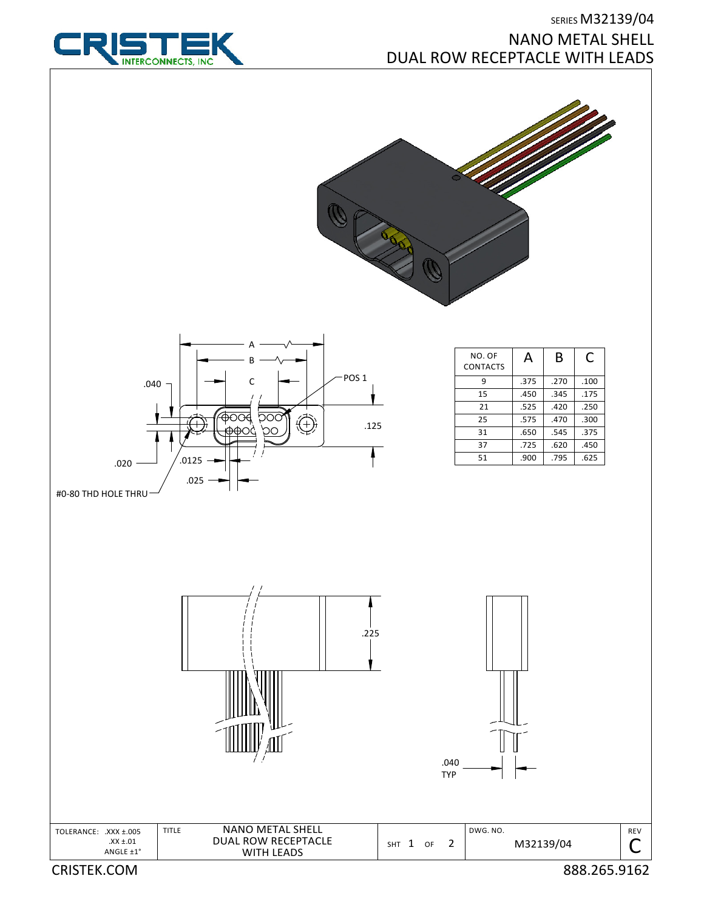

## SERIES M32139/04 NANO METAL SHELL DUAL ROW RECEPTACLE WITH LEADS





| NO. OF<br><b>CONTACTS</b> | А    | В    | C    |
|---------------------------|------|------|------|
| q                         | .375 | .270 | .100 |
| 15                        | .450 | .345 | .175 |
| 21                        | .525 | .420 | .250 |
| 25                        | .575 | .470 | .300 |
| 31                        | .650 | .545 | .375 |
| 37                        | .725 | .620 | .450 |
| 51                        | .900 | .795 | .625 |



CRISTEK.COM 888.265.9162

REV